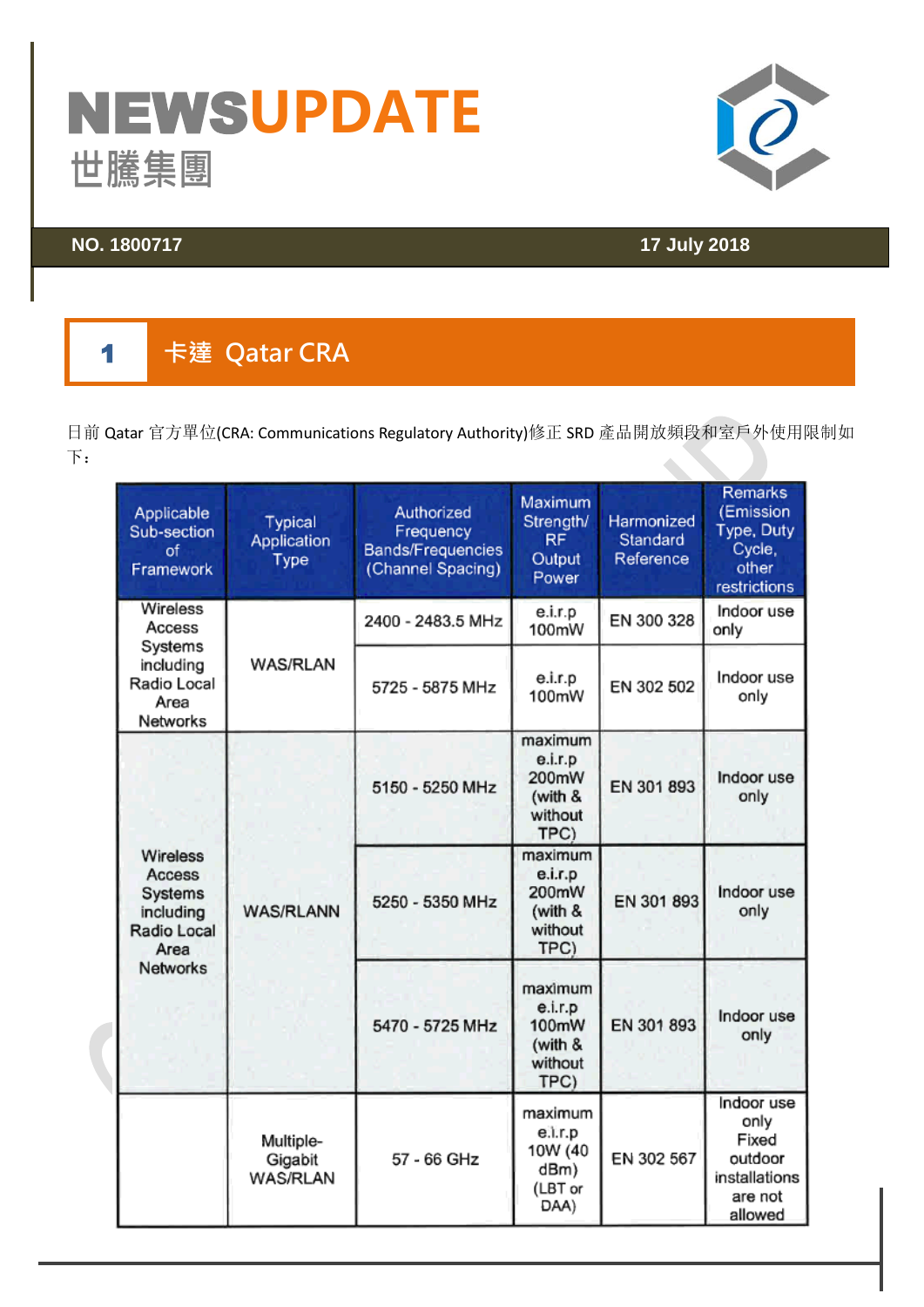# NEWS**UPDATE** 世騰集團<br><sup>NO.1800717</sup>



## **NO. 1800717 17 July 2018**

### $\blacksquare$ **卡達 Qatar CRA**

日前 Qatar 官方單位(CRA: Communications Regulatory Authority)修正 SRD 產品開放頻段和室戶外使用限制如 下:  $\bullet$ 

| <b>Applicable</b><br>Sub-section<br>of<br>Framework               | Typical<br>Application<br>Type          | Authorized<br>Frequency<br><b>Bands/Frequencies</b><br>(Channel Spacing) | Maximum<br>Strength/<br><b>RF</b><br>Output<br>Power      | Harmonized<br>Standard<br>Reference | Remarks<br>(Emission<br>Type, Duty<br>Cycle,<br>other<br>restrictions         |
|-------------------------------------------------------------------|-----------------------------------------|--------------------------------------------------------------------------|-----------------------------------------------------------|-------------------------------------|-------------------------------------------------------------------------------|
| <b>Wireless</b><br>Access                                         |                                         | 2400 - 2483.5 MHz                                                        | e.i.r.p<br>100mW                                          | EN 300 328                          | Indoor use<br>only                                                            |
| Systems<br>including<br>Radio Local<br>Area<br>Networks           | <b>WAS/RLAN</b>                         | 5725 - 5875 MHz                                                          | e.i.r.p<br>100mW                                          | EN 302 502                          | Indoor use<br>only                                                            |
|                                                                   |                                         | 5150 - 5250 MHz                                                          | maximum<br>e.i.r.p<br>200mW<br>(with &<br>without<br>TPC) | EN 301 893                          | Indoor use<br>only                                                            |
| Wireless<br>Access<br>Systems<br>including<br>Radio Local<br>Area | <b>WAS/RLANN</b>                        | 5250 - 5350 MHz                                                          | maximum<br>e.i.r.p<br>200mW<br>(with &<br>without<br>TPC) | EN 301 893                          | Indoor use<br>only                                                            |
| <b>Networks</b>                                                   |                                         | 5470 - 5725 MHz                                                          | maximum<br>e.i.r.p<br>100mW<br>(with &<br>without<br>TPC) | EN 301 893                          | Indoor use<br>only                                                            |
|                                                                   | Multiple-<br>Gigabit<br><b>WAS/RLAN</b> | 57 - 66 GHz                                                              | maximum<br>e.i.r.p<br>10W (40<br>dBm)<br>(LBT or<br>DAA)  | EN 302 567                          | Indoor use<br>only<br>Fixed<br>outdoor<br>installations<br>are not<br>allowed |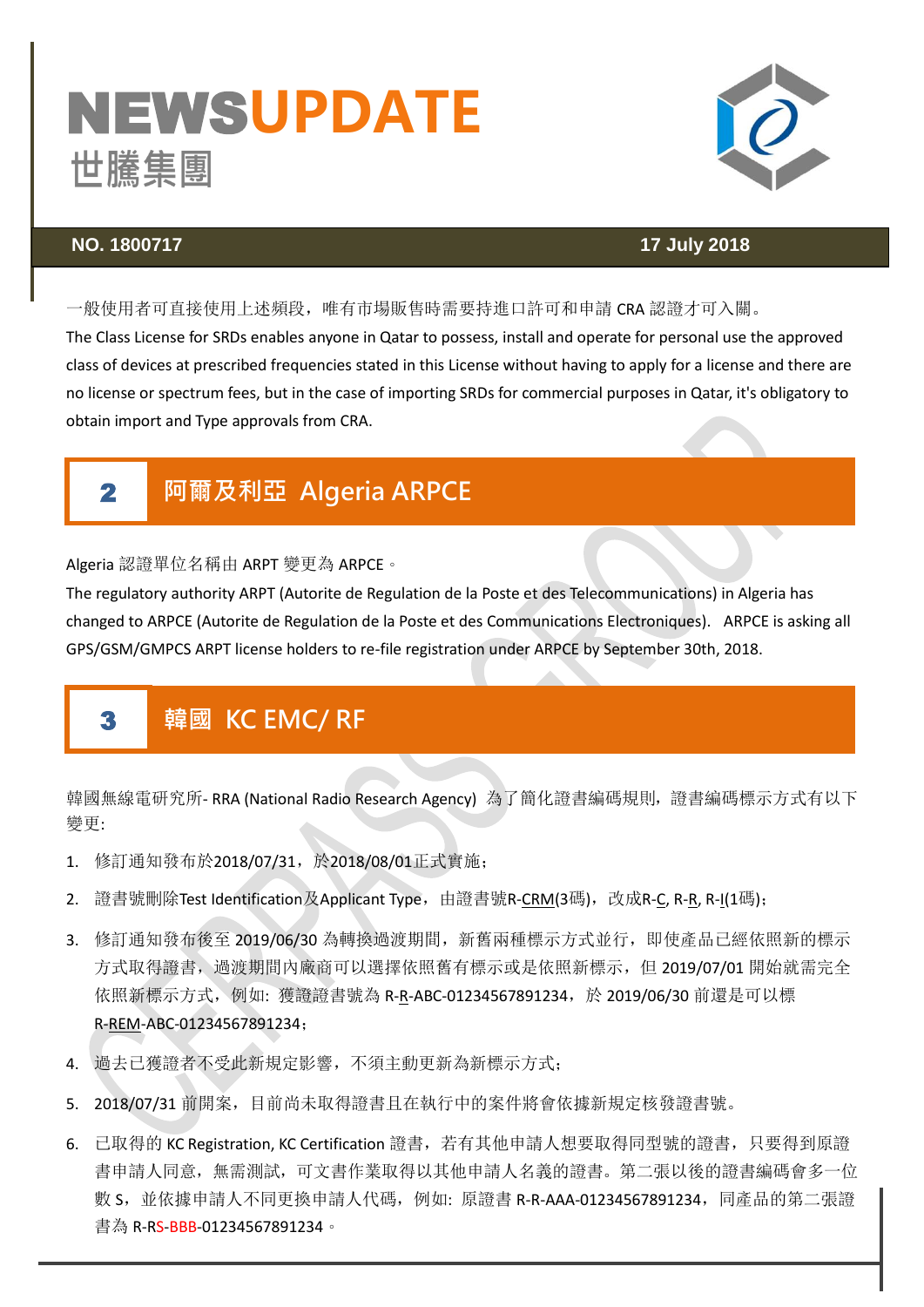# NEWS**UPDATE S**



### **NO. 1800717 17 July 2018**

一般使用者可直接使用上述頻段,唯有市場販售時需要持進口許可和申請 CRA 認證才可入關。

The Class License for SRDs enables anyone in Qatar to possess, install and operate for personal use the approved class of devices at prescribed frequencies stated in this License without having to apply for a license and there are no license or spectrum fees, but in the case of importing SRDs for commercial purposes in Qatar, it's obligatory to obtain import and Type approvals from CRA.

### $\mathbf{2}$ 2 阿爾及利亞 Algeria ARPCE

Algeria 認證單位名稱由 ARPT 變更為 ARPCE。

The regulatory authority ARPT (Autorite de Regulation de la Poste et des Telecommunications) in Algeria has changed to ARPCE (Autorite de Regulation de la Poste et des Communications Electroniques). ARPCE is asking all GPS/GSM/GMPCS ARPT license holders to re-file registration under ARPCE by September 30th, 2018.

### 3 韓國 KC EMC/ RF

韓國無線電研究所-RRA (National Radio Research Agency) 為了簡化證書編碼規則,證書編碼標示方式有以下 變更:

- 1. 修訂通知發布於2018/07/31,於2018/08/01正式實施;
- 2. 證書號刪除Test Identification及Applicant Type,由證書號R-<u>CRM(</u>3碼),改成R-<u>C</u>, R-<u>R</u>, R-<u>I(</u>1碼);
- 3. 修訂通知發布後至 2019/06/30 為轉換過渡期間, 新舊兩種標示方式並行, 即使產品已經依照新的標示 方式取得證書,過渡期間內廠商可以選擇依照舊有標示或是依照新標示,但 2019/07/01 開始就需完全 依照新標示方式, 例如: 獲證證書號為 R-R-ABC-01234567891234, 於 2019/06/30 前還是可以標 R-REM-ABC-01234567891234;
- 4. 過去已獲證者不受此新規定影響,不須主動更新為新標示方式;
- 5. 2018/07/31 前開案,目前尚未取得證書且在執行中的案件將會依據新規定核發證書號。
- 6. 已取得的 KC Registration, KC Certification 證書, 若有其他申請人想要取得同型號的證書, 只要得到原證 書申請人同意,無需測試,可文書作業取得以其他申請人名義的證書。第二張以後的證書編碼會多一位 數 S,並依據申請人不同更換申請人代碼,例如:原證書 R-R-AAA-01234567891234,同產品的第二張證 書為 R-R<mark>S-BBB</mark>-01234567891234。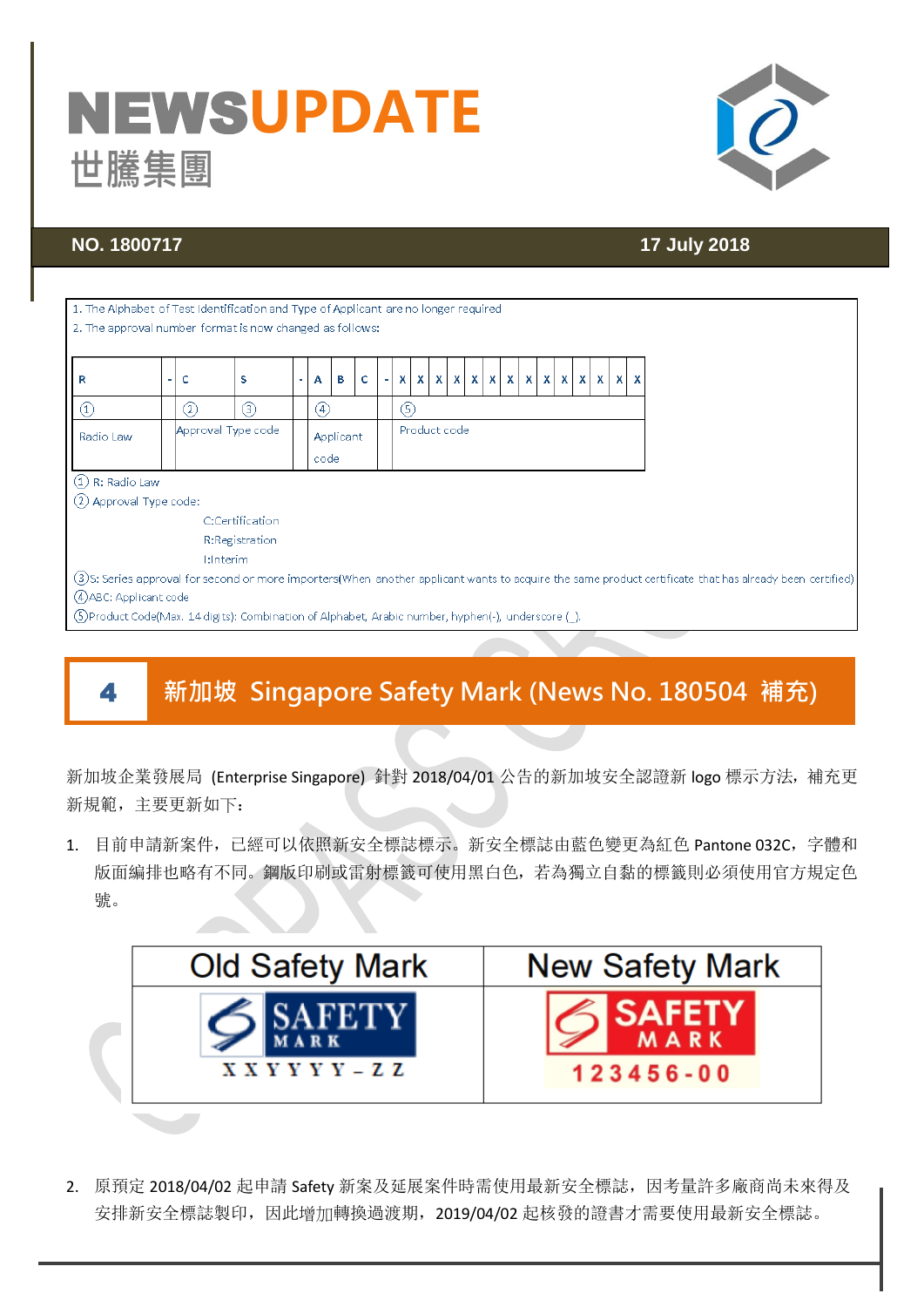# NEWS**UPDATE S**



Ī

# **NO. 1800717 17 July 2018**

| 1. The Alphabet of Test Identification and Type of Applicant are no longer required                                                                      |                                                 |              |                   |  |                   |   |   |  |             |    |  |                                                 |  |  |  |  |  |  |  |  |  |  |  |  |  |
|----------------------------------------------------------------------------------------------------------------------------------------------------------|-------------------------------------------------|--------------|-------------------|--|-------------------|---|---|--|-------------|----|--|-------------------------------------------------|--|--|--|--|--|--|--|--|--|--|--|--|--|
| 2. The approval number format is now changed as follows:                                                                                                 |                                                 |              |                   |  |                   |   |   |  |             |    |  |                                                 |  |  |  |  |  |  |  |  |  |  |  |  |  |
|                                                                                                                                                          |                                                 |              |                   |  |                   |   |   |  |             |    |  |                                                 |  |  |  |  |  |  |  |  |  |  |  |  |  |
|                                                                                                                                                          |                                                 |              |                   |  |                   |   |   |  |             |    |  |                                                 |  |  |  |  |  |  |  |  |  |  |  |  |  |
| R                                                                                                                                                        |                                                 | c            | s                 |  | A                 | в | c |  | X.          | X. |  | $x   x   x   x   x   x   x   x   x   x   x   x$ |  |  |  |  |  |  |  |  |  |  |  |  |  |
|                                                                                                                                                          |                                                 | $\rm _{(2)}$ | $\left( 3\right)$ |  | $\left( 4\right)$ |   |   |  | $\circleds$ |    |  |                                                 |  |  |  |  |  |  |  |  |  |  |  |  |  |
| Radio Law                                                                                                                                                | Approval Type code<br>Product code<br>Applicant |              |                   |  |                   |   |   |  |             |    |  |                                                 |  |  |  |  |  |  |  |  |  |  |  |  |  |
|                                                                                                                                                          |                                                 |              |                   |  |                   |   |   |  |             |    |  |                                                 |  |  |  |  |  |  |  |  |  |  |  |  |  |
|                                                                                                                                                          |                                                 |              |                   |  | code              |   |   |  |             |    |  |                                                 |  |  |  |  |  |  |  |  |  |  |  |  |  |
| (1) R: Radio Law                                                                                                                                         |                                                 |              |                   |  |                   |   |   |  |             |    |  |                                                 |  |  |  |  |  |  |  |  |  |  |  |  |  |
| (2) Approval Type code:                                                                                                                                  |                                                 |              |                   |  |                   |   |   |  |             |    |  |                                                 |  |  |  |  |  |  |  |  |  |  |  |  |  |
|                                                                                                                                                          | C:Certification                                 |              |                   |  |                   |   |   |  |             |    |  |                                                 |  |  |  |  |  |  |  |  |  |  |  |  |  |
|                                                                                                                                                          |                                                 |              | R:Registration    |  |                   |   |   |  |             |    |  |                                                 |  |  |  |  |  |  |  |  |  |  |  |  |  |
|                                                                                                                                                          | <b>I:Interim</b>                                |              |                   |  |                   |   |   |  |             |    |  |                                                 |  |  |  |  |  |  |  |  |  |  |  |  |  |
| (3)S: Series approval for second or more importers(When another applicant wants to acquire the same product certificate that has already been certified) |                                                 |              |                   |  |                   |   |   |  |             |    |  |                                                 |  |  |  |  |  |  |  |  |  |  |  |  |  |
| (4) ABC: Applicant code                                                                                                                                  |                                                 |              |                   |  |                   |   |   |  |             |    |  |                                                 |  |  |  |  |  |  |  |  |  |  |  |  |  |
| (5) Product Code(Max. 14 digits): Combination of Alphabet, Arabic number, hyphen(-), underscore (1).                                                     |                                                 |              |                   |  |                   |   |   |  |             |    |  |                                                 |  |  |  |  |  |  |  |  |  |  |  |  |  |
|                                                                                                                                                          |                                                 |              |                   |  |                   |   |   |  |             |    |  |                                                 |  |  |  |  |  |  |  |  |  |  |  |  |  |

# 4 新加坡 Singapore Safety Mark (News No. 180504 補充)

新加坡企業發展局 (Enterprise Singapore) 針對 2018/04/01 公告的新加坡安全認證新 logo 標示方法, 補充更 新規範,主要更新如下:

1. 目前申請新案件,已經可以依照新安全標誌標示。新安全標誌由藍色變更為紅色 Pantone 032C,字體和 版面編排也略有不同。鋼版印刷或雷射標籤可使用黑白色,若為獨立自黏的標籤則必須使用官方規定色 號。



2. 原預定 2018/04/02 起申請 Safety 新案及延展案件時需使用最新安全標誌,因考量許多廠商尚未來得及 安排新安全標誌製印,因此增加轉換過渡期,2019/04/02 起核發的證書才需要使用最新安全標誌。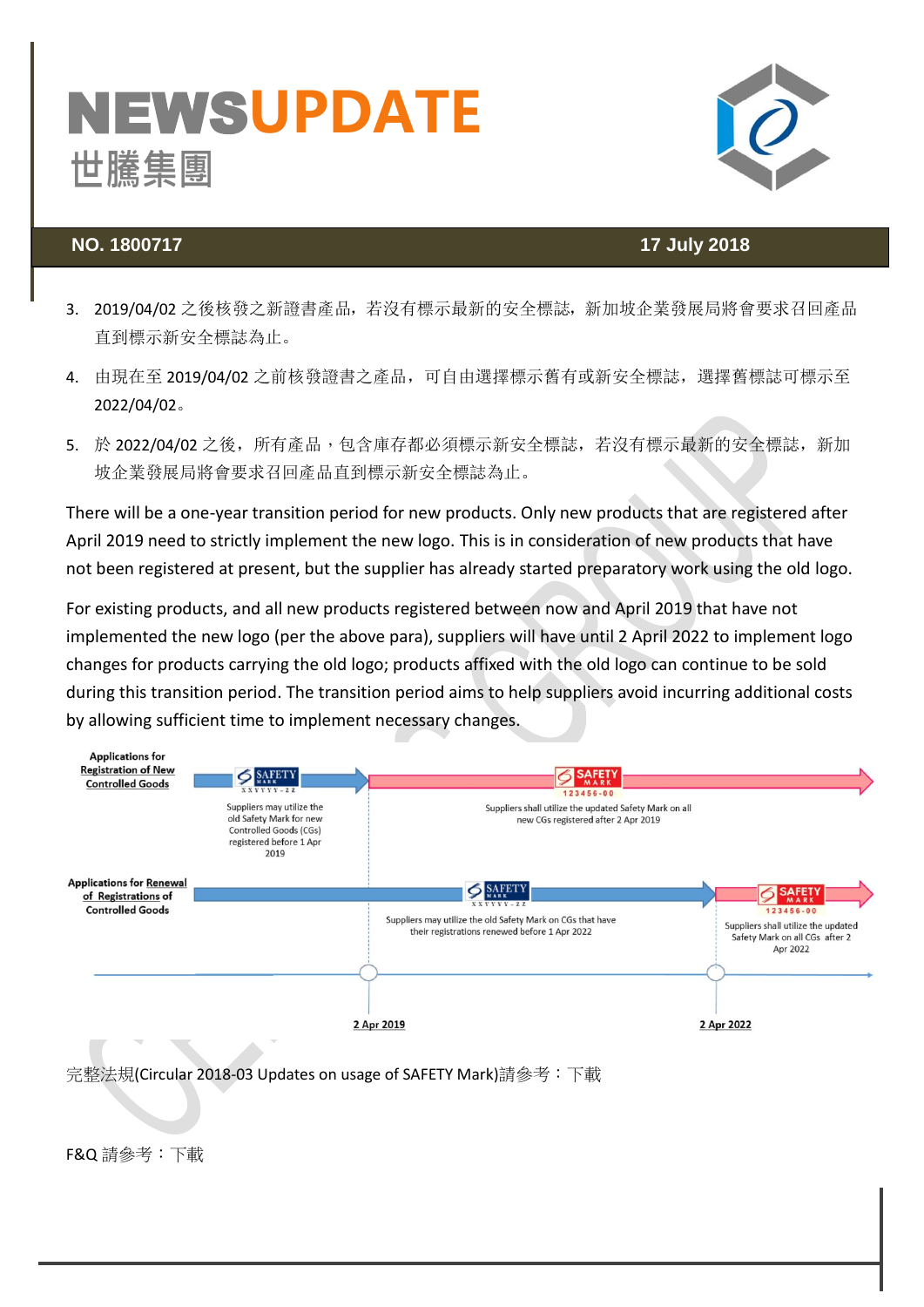# NEWS**UPDATE** 世騰集團 **S**



## **NO. 1800717 17 July 2018**

- 3. 2019/04/02 之後核發之新證書產品,若沒有標示最新的安全標誌,新加坡企業發展局將會要求召回產品 直到標示新安全標誌為止。
- 4. 由現在至 2019/04/02 之前核發證書之產品,可自由選擇標示舊有或新安全標誌,選擇舊標誌可標示至 2022/04/02。
- 5. 於 2022/04/02 之後, 所有產品,包含庫存都必須標示新安全標誌, 若沒有標示最新的安全標誌, 新加 坡企業發展局將會要求召回產品直到標示新安全標誌為止。

There will be a one-year transition period for new products. Only new products that are registered after April 2019 need to strictly implement the new logo. This is in consideration of new products that have not been registered at present, but the supplier has already started preparatory work using the old logo.

For existing products, and all new products registered between now and April 2019 that have not implemented the new logo (per the above para), suppliers will have until 2 April 2022 to implement logo changes for products carrying the old logo; products affixed with the old logo can continue to be sold during this transition period. The transition period aims to help suppliers avoid incurring additional costs by allowing sufficient time to implement necessary changes.



F&Q 請參考[:下載](http://www.cerpass.com.tw/Dow_File/Get_Down_File_Passwd.aspx?ID=585F1EBF-54D9-4BB0-A2C5-6C3DD32E52CD)